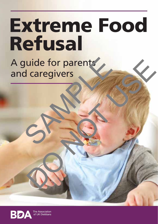# Extreme Food Refusal

A guide for parents and caregivers Buide for parents<br>d caregivers<br>Control of the set of the set of the set of the set of the set of the set of the set of the set of the set of the set of the set of the set of the set of the set of the set of the set of the uide for parents

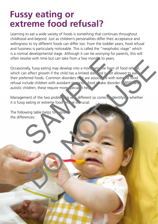#### **Fussy eating or extreme food refusal?**

Learning to eat a wide variety of foods is something that continues throughout childhood and beyond. Just as children's personalities differ their acceptance and willingness to try different foods can differ too. From the toddler years, food refusal and fussiness is particularly noticeable. This is called the "neophobic stage" which is a normal developmental stage. Although it can be worrying for parents, this will often resolve with time but can take from a few months to years.

Occasionally, fussy eating may develop into a more extreme form of food refusal. which can affect growth if the child has a limited diet and is not allowed to eat. their preferred foods. Common disorders  $t \rightarrow t$  are associated with extreme food refusal include children with avoidant restrictive food in take disorder ( $RFD$  and autistic children; these require more pecial it help. Solve with time but can take from a few month's to years.<br>
mally, fussy eating may develop into a more with the form of f<br>
an affect growth if the child has a limited diet, and is of allow<br>
ferred foods. Common disorders t the start and the children and develop into a more with the form of food reference frocal started develop into a more with the children and the children and the children with avoidant record with extra relation with a void

Management of the two problems is very different so correctly identifying whether it is fussy eating or extreme food end all is crucial.

The following table helps to  $x$ pla the differences: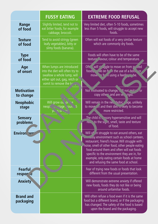|                                | <b>FUSSY EATING</b>                                                                                                                                                                       | <b>EXTREME FOOD REFUSAL</b>                                                                                                                                                                                                                                                                                                                                                        |
|--------------------------------|-------------------------------------------------------------------------------------------------------------------------------------------------------------------------------------------|------------------------------------------------------------------------------------------------------------------------------------------------------------------------------------------------------------------------------------------------------------------------------------------------------------------------------------------------------------------------------------|
| Range<br>of food               | Slightly limited, tend not to<br>eat bitter foods, for example<br>cabbage, broccoli.                                                                                                      | Very limited diet, often 5-10 foods, sometimes<br>less than 5 foods, will struggle to accept new<br>foods.                                                                                                                                                                                                                                                                         |
| <b>Texture</b><br>of food      | Tend to avoid stringy (green<br>leafy vegetables), bitty or<br>slimy foods (banana).                                                                                                      | Often will eat foods of a very similar texture<br>which are commonly dry foods.                                                                                                                                                                                                                                                                                                    |
| <b>Type</b><br>of food         |                                                                                                                                                                                           | Foods will often have to be of the same<br>texture avour, colour and temperature.                                                                                                                                                                                                                                                                                                  |
| Age<br>of onset                | When lumps are introduced<br>into the diet will often try to<br>swallow a whole lump, will<br>either spit out, gag, retch or<br>vomit to remove the $\mathbf{I}^{\text{pr}}$ <sub>r</sub> | Oft will studgle to move on from prived<br>$\sqrt{e}$ on from the use of a both or<br>foods,<br>move in front using a feeding the.                                                                                                                                                                                                                                                 |
| <b>Motivation</b><br>to change |                                                                                                                                                                                           | Not motivated to change, and motimitary or<br>copy others and are ve. rigid.                                                                                                                                                                                                                                                                                                       |
| <b>Neophobic</b><br>stage      | Will grow ou of se<br>neople and tage cround 5<br>ye 501-2                                                                                                                                | Will remain in the nechobic riage, unlikely<br>to move in and their dier is likely to become<br>more restricted.                                                                                                                                                                                                                                                                   |
| <b>Sensory</b><br>problems     |                                                                                                                                                                                           | The child is . nsory hypersensitive and will<br>red * to the signt, smell, taste and texture<br>of food.                                                                                                                                                                                                                                                                           |
| Environ ser                    |                                                                                                                                                                                           | Will of in struggle to eat around others, eat<br>Jusy environment such as school canteen,<br>restaurant, friend's house. Will struggle with<br>noise, smell of other food, other people eating<br>food around them and often will eat foods<br>specific to the environment they are in, for<br>example, only eating certain foods at home<br>and refusing the same food at school. |
| <b>Fearful</b><br>respor e     |                                                                                                                                                                                           | Fear of trying new foods or foods that look<br>different from the usual presentation.                                                                                                                                                                                                                                                                                              |
| <b>Anxiety</b>                 |                                                                                                                                                                                           | Will demonstrate extreme anxiety if offered<br>new foods, foods they do not like or being<br>around unfamiliar foods.                                                                                                                                                                                                                                                              |
| <b>Brand and</b><br>packaging  |                                                                                                                                                                                           | Will often refuse a food even if it is the same<br>food but a different brand, or if the packaging<br>has changed. The safety of the food is based<br>upon the brand and the packaging.                                                                                                                                                                                            |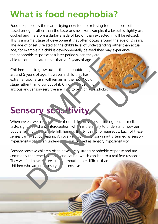### **What is food neophobia?**

Food neophobia is the fear of trying new food or refusing food if it looks different based on sight rather than the taste or smell. For example, if a biscuit is slightly overcooked and therefore a darker shade of brown than expected, it will be refused. This is a normal stage of development that often occurs around the age of 2 years. The age of onset is related to the child's level of understanding rather than actual age, for example if a child is developmentally delayed they may experience the neophobic response at a later period when they are able to communicate rather than at 2 years of age.

Children tend to grow out of the neophobic stage around 5 years of age, however a child that has extreme food refusal will remain in the ned hobic stage rather than grow out of it. Children that highly anxious and sensory sensitive are like  $\sqrt{\text{to be}}$  highly exphobic.

## **Sensory sensitivity**

When we eat we use a  $p^2/m_b$  of our different senses including touch, smell, taste, sight, sound and interoception, which is the ability to understand how our body is fealing,  $f$  and ple full, hungry, thirsty, painful or nauseous. Each of these senses can arrect our eating. An over-reaction to a nsory input is termed as sensory hypersensitivity and under-reaction is termed as sensory hyposensitivity. Communicate rather than at 2 years of age.<br>
The tend to grow out of the neophobic stage<br>
S years of age, however a child that has<br>
food refusal will remain in the neo, hobic<br>
ther than grow out of it. Children at a, high<br> municate rather than at 2 years of age.<br>
years of age, however a child that has<br>
coord refusal will remain in the new hobic<br>
of the all will remain in the new hobic<br>
of the all will remain in the new hobic<br>
of any number a

Sensory sensitive children often have very strong neophobic response and are commonly frightened **of foods and eating, which can lead to a real fear response.** They will find new te tures in  $t<sub>i</sub>$  eir mouth more difficult than children who are not ensory hypersensitive.